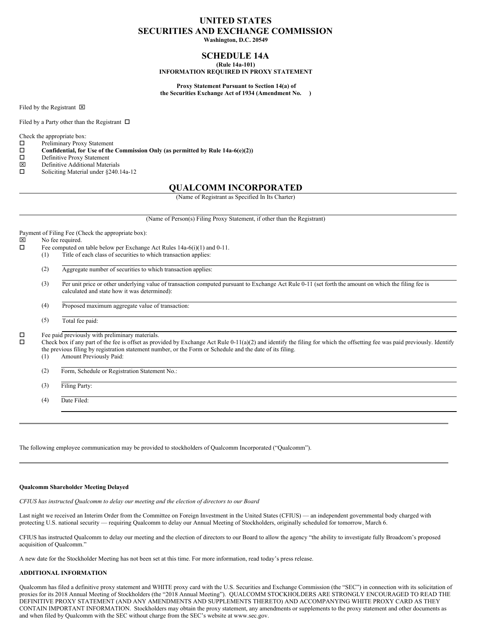## **UNITED STATES SECURITIES AND EXCHANGE COMMISSION**

**Washington, D.C. 20549**

# **SCHEDULE 14A**

**(Rule 14a-101) INFORMATION REQUIRED IN PROXY STATEMENT**

**Proxy Statement Pursuant to Section 14(a) of the Securities Exchange Act of 1934 (Amendment No. )**

Filed by the Registrant  $\boxtimes$ 

Filed by a Party other than the Registrant  $\Box$ 

Check the appropriate box:<br> $\Box$  Preliminary Proxy

- Preliminary Proxy Statement
- $\square$  Confidential, for Use of the Commission Only (as permitted by Rule 14a-6(e)(2))<br> $\square$  Definitive Proxy Statement
- $\Box$  Definitive Proxy Statement
- $\boxtimes$  Definitive Additional Materials<br>  $\square$  Soliciting Material under §240.
- Soliciting Material under §240.14a-12

## **QUALCOMM INCORPORATED**

(Name of Registrant as Specified In Its Charter)

(Name of Person(s) Filing Proxy Statement, if other than the Registrant)

Payment of Filing Fee (Check the appropriate box):

- $\boxtimes$  No fee required.<br> $\Box$  Fee computed or
	- Fee computed on table below per Exchange Act Rules 14a-6(i)(1) and 0-11.
	- (1) Title of each class of securities to which transaction applies:
		- (2) Aggregate number of securities to which transaction applies:
		- (3) Per unit price or other underlying value of transaction computed pursuant to Exchange Act Rule 0-11 (set forth the amount on which the filing fee is calculated and state how it was determined):
		- (4) Proposed maximum aggregate value of transaction:
		- (5) Total fee paid:

 $\square$  Fee paid previously with preliminary materials.<br> $\square$  Check box if any part of the fee is offset as pro-

o Check box if any part of the fee is offset as provided by Exchange Act Rule 0-11(a)(2) and identify the filing for which the offsetting fee was paid previously. Identify the previous filing by registration statement number, or the Form or Schedule and the date of its filing.

- (1) Amount Previously Paid:
- (2) Form, Schedule or Registration Statement No.:
- (3) Filing Party:

(4) Date Filed:

The following employee communication may be provided to stockholders of Qualcomm Incorporated ("Qualcomm").

#### **Qualcomm Shareholder Meeting Delayed**

*CFIUS has instructed Qualcomm to delay our meeting and the election of directors to our Board*

Last night we received an Interim Order from the Committee on Foreign Investment in the United States (CFIUS) — an independent governmental body charged with protecting U.S. national security — requiring Qualcomm to delay our Annual Meeting of Stockholders, originally scheduled for tomorrow, March 6.

CFIUS has instructed Qualcomm to delay our meeting and the election of directors to our Board to allow the agency "the ability to investigate fully Broadcom's proposed acquisition of Qualcomm."

A new date for the Stockholder Meeting has not been set at this time. For more information, read today's press release.

#### **ADDITIONAL INFORMATION**

Qualcomm has filed a definitive proxy statement and WHITE proxy card with the U.S. Securities and Exchange Commission (the "SEC") in connection with its solicitation of proxies for its 2018 Annual Meeting of Stockholders (the "2018 Annual Meeting"). QUALCOMM STOCKHOLDERS ARE STRONGLY ENCOURAGED TO READ THE DEFINITIVE PROXY STATEMENT (AND ANY AMENDMENTS AND SUPPLEMENTS THERETO) AND ACCOMPANYING WHITE PROXY CARD AS THEY CONTAIN IMPORTANT INFORMATION. Stockholders may obtain the proxy statement, any amendments or supplements to the proxy statement and other documents as and when filed by Qualcomm with the SEC without charge from the SEC's website at www.sec.gov.